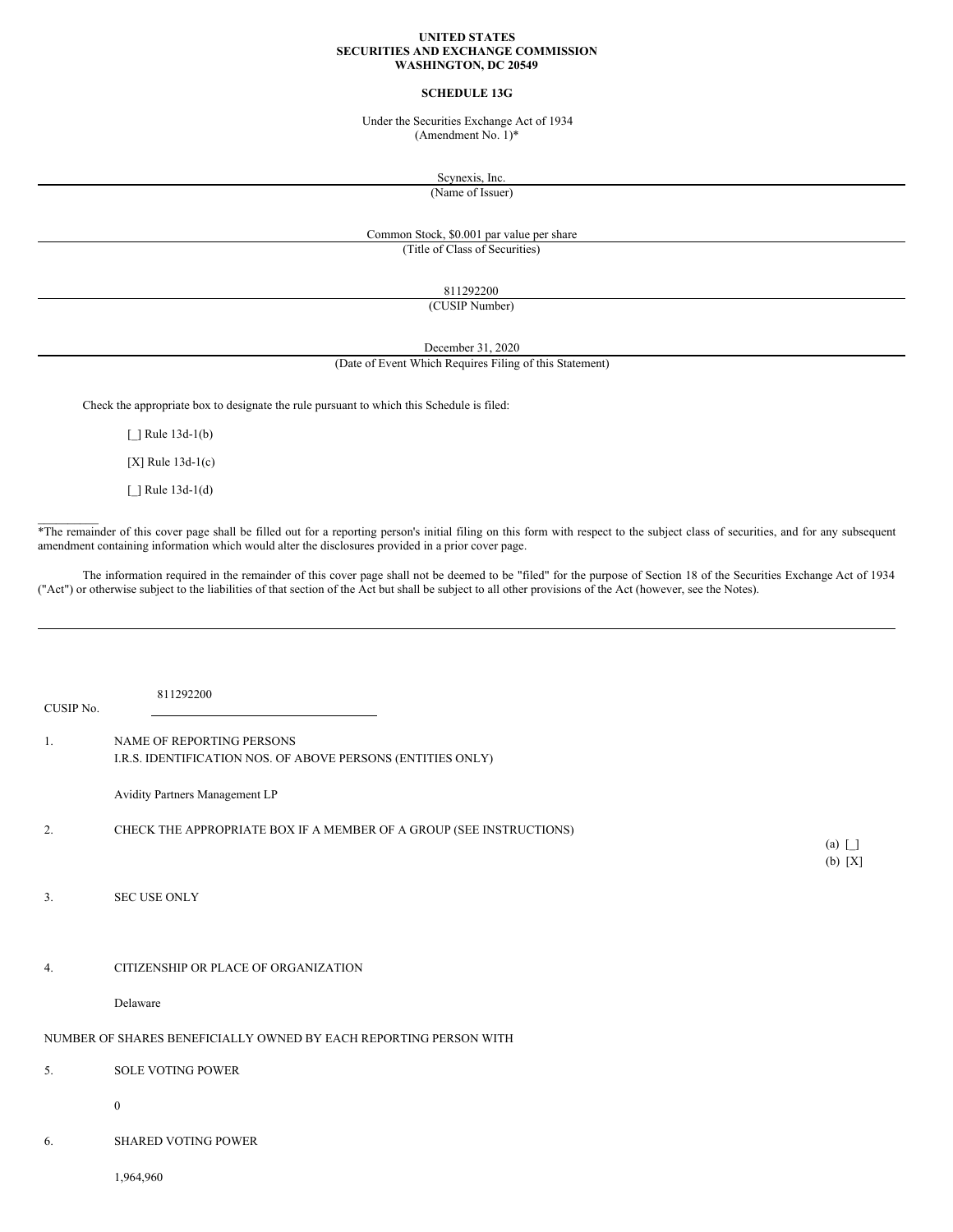#### **UNITED STATES SECURITIES AND EXCHANGE COMMISSION WASHINGTON, DC 20549**

#### **SCHEDULE 13G**

Under the Securities Exchange Act of 1934 (Amendment No. 1)\*

Scynexis, Inc.

(Name of Issuer)

# Common Stock, \$0.001 par value per share (Title of Class of Securities)

811292200

(CUSIP Number)

December 31, 2020

(Date of Event Which Requires Filing of this Statement)

Check the appropriate box to designate the rule pursuant to which this Schedule is filed:

[ ] Rule 13d-1(b)

[X] Rule 13d-1(c)

[\_] Rule 13d-1(d)

 $\mathcal{L}=\mathcal{L}$ 

\*The remainder of this cover page shall be filled out for a reporting person's initial filing on this form with respect to the subject class of securities, and for any subsequent amendment containing information which would alter the disclosures provided in a prior cover page.

The information required in the remainder of this cover page shall not be deemed to be "filed" for the purpose of Section 18 of the Securities Exchange Act of 1934 ("Act") or otherwise subject to the liabilities of that section of the Act but shall be subject to all other provisions of the Act (however, see the Notes).

| CUSIP No. | 811292200                                                                                |              |
|-----------|------------------------------------------------------------------------------------------|--------------|
| 1.        | NAME OF REPORTING PERSONS<br>I.R.S. IDENTIFICATION NOS. OF ABOVE PERSONS (ENTITIES ONLY) |              |
|           | Avidity Partners Management LP                                                           |              |
| 2.        | CHECK THE APPROPRIATE BOX IF A MEMBER OF A GROUP (SEE INSTRUCTIONS)                      | $(a)$ $\Box$ |
| 3.        | SEC USE ONLY                                                                             | (b) [X]      |
| 4.        | CITIZENSHIP OR PLACE OF ORGANIZATION                                                     |              |
|           | Delaware                                                                                 |              |
|           | NUMBER OF SHARES BENEFICIALLY OWNED BY EACH REPORTING PERSON WITH                        |              |
| 5.        | <b>SOLE VOTING POWER</b>                                                                 |              |
|           | $\boldsymbol{0}$                                                                         |              |
| 6.        | <b>SHARED VOTING POWER</b>                                                               |              |
|           | 1,964,960                                                                                |              |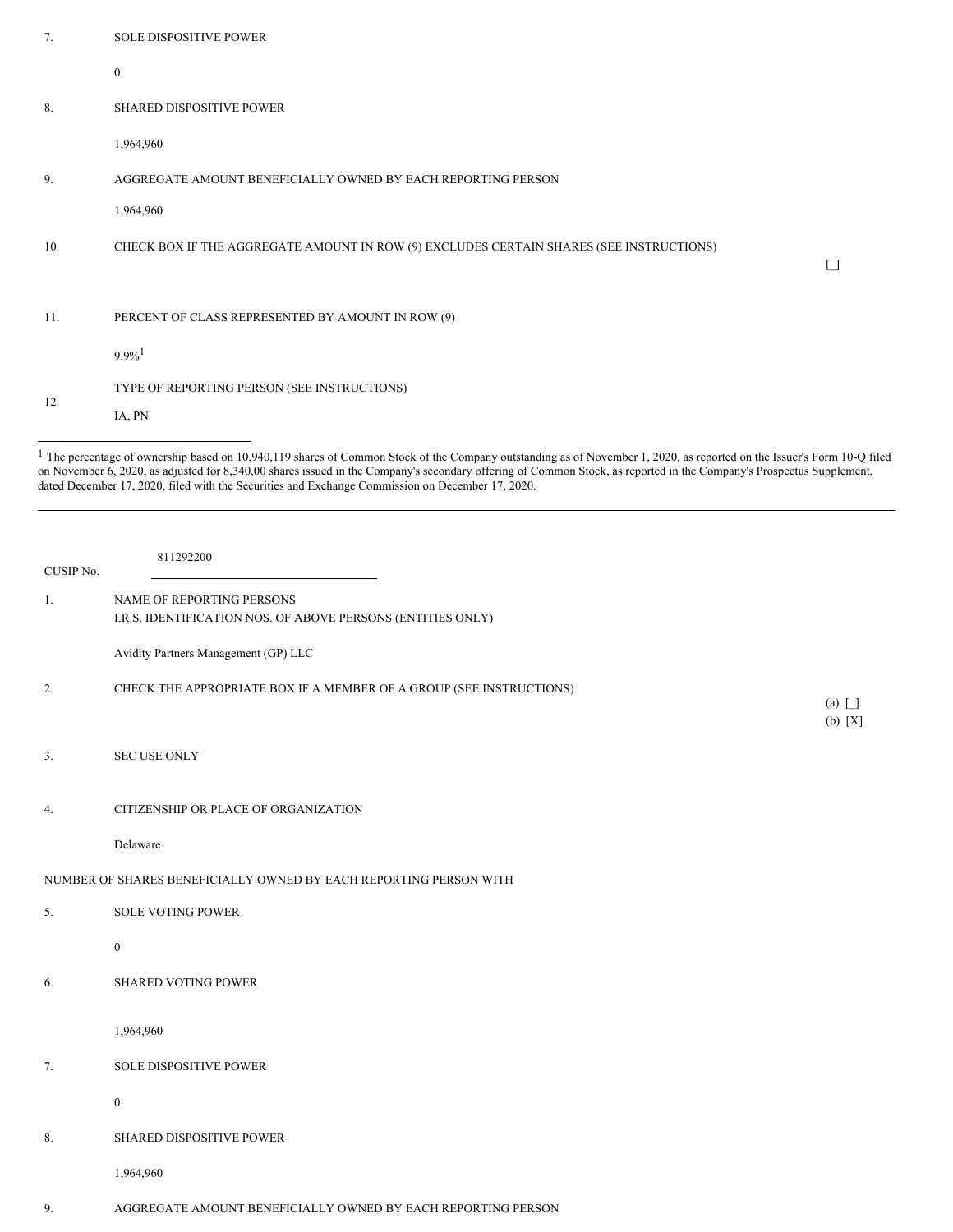| 7.  | <b>SOLE DISPOSITIVE POWER</b>                                                           |            |
|-----|-----------------------------------------------------------------------------------------|------------|
|     | $\boldsymbol{0}$                                                                        |            |
| 8.  | SHARED DISPOSITIVE POWER                                                                |            |
|     | 1,964,960                                                                               |            |
| 9.  | AGGREGATE AMOUNT BENEFICIALLY OWNED BY EACH REPORTING PERSON                            |            |
|     | 1,964,960                                                                               |            |
| 10. | CHECK BOX IF THE AGGREGATE AMOUNT IN ROW (9) EXCLUDES CERTAIN SHARES (SEE INSTRUCTIONS) | $\lceil$ 1 |
|     |                                                                                         |            |
| 11. | PERCENT OF CLASS REPRESENTED BY AMOUNT IN ROW (9)                                       |            |
|     | $9.9\%$ <sup>1</sup>                                                                    |            |
| 12. | TYPE OF REPORTING PERSON (SEE INSTRUCTIONS)                                             |            |
|     | IA, PN                                                                                  |            |

 $1$  The percentage of ownership based on 10,940,119 shares of Common Stock of the Company outstanding as of November 1, 2020, as reported on the Issuer's Form 10-Q filed on November 6, 2020, as adjusted for 8,340,00 shares issued in the Company's secondary offering of Common Stock, as reported in the Company's Prospectus Supplement, dated December 17, 2020, filed with the Securities and Exchange Commission on December 17, 2020.

| CUSIP No. | 811292200                                                                                |
|-----------|------------------------------------------------------------------------------------------|
| 1.        | NAME OF REPORTING PERSONS<br>I.R.S. IDENTIFICATION NOS. OF ABOVE PERSONS (ENTITIES ONLY) |
|           | Avidity Partners Management (GP) LLC                                                     |
| 2.        | CHECK THE APPROPRIATE BOX IF A MEMBER OF A GROUP (SEE INSTRUCTIONS)                      |
| 3.        | SEC USE ONLY                                                                             |
| 4.        | CITIZENSHIP OR PLACE OF ORGANIZATION                                                     |
|           | Delaware                                                                                 |
|           | NUMBER OF SHARES BENEFICIALLY OWNED BY EACH REPORTING PERSON WITH                        |
| 5.        | <b>SOLE VOTING POWER</b>                                                                 |
|           | $\bf{0}$                                                                                 |
| 6.        | <b>SHARED VOTING POWER</b>                                                               |
|           | 1,964,960                                                                                |
| 7.        | <b>SOLE DISPOSITIVE POWER</b>                                                            |
|           | $\bf{0}$                                                                                 |
| 8.        | SHARED DISPOSITIVE POWER                                                                 |
|           | 1,964,960                                                                                |
| 9.        | AGGREGATE AMOUNT BENEFICIALLY OWNED BY EACH REPORTING PERSON                             |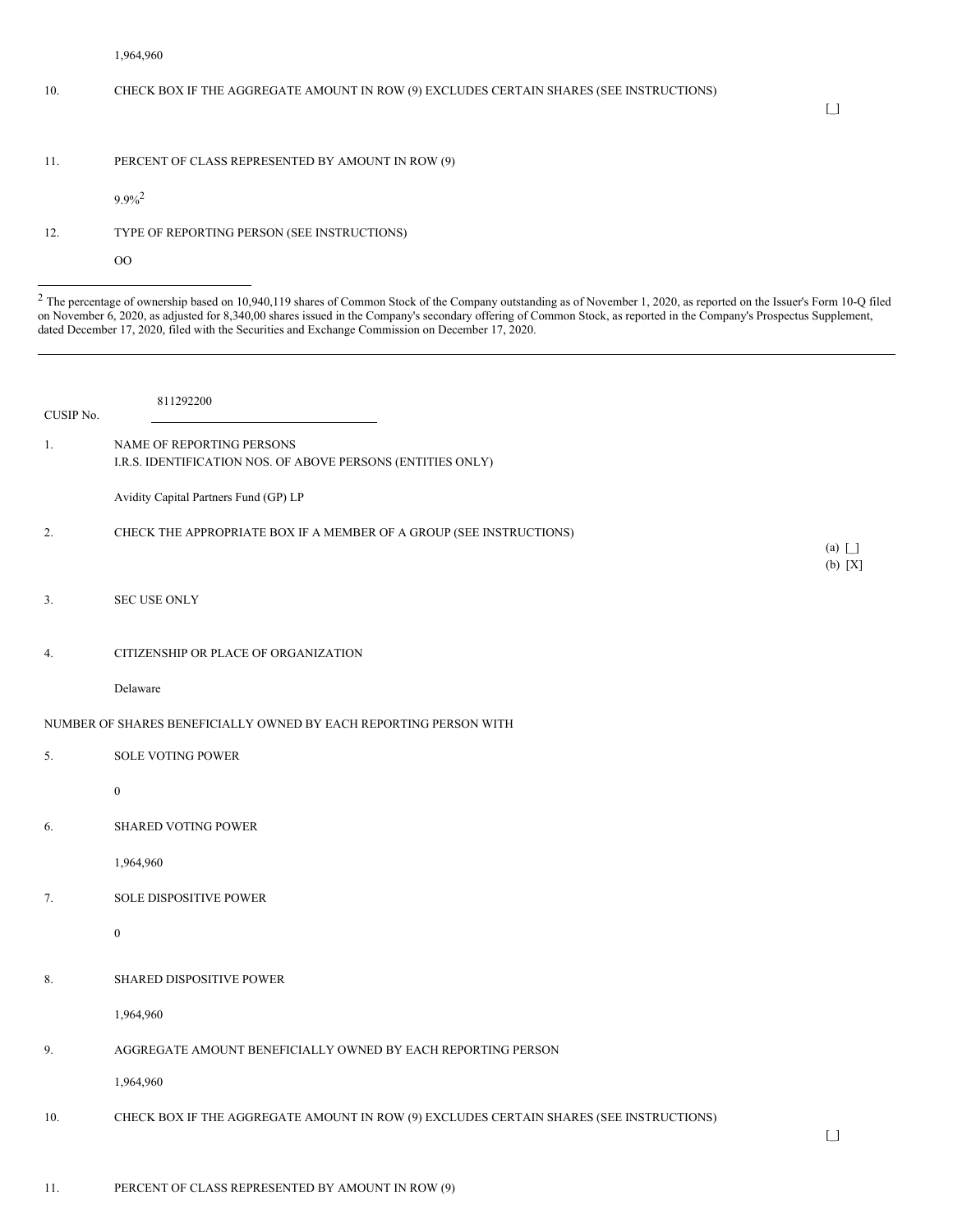|           | 1,964,960                                                                                                                                                                                                                                                                                                                                                                                                                                                      |                                        |
|-----------|----------------------------------------------------------------------------------------------------------------------------------------------------------------------------------------------------------------------------------------------------------------------------------------------------------------------------------------------------------------------------------------------------------------------------------------------------------------|----------------------------------------|
| 10.       | CHECK BOX IF THE AGGREGATE AMOUNT IN ROW (9) EXCLUDES CERTAIN SHARES (SEE INSTRUCTIONS)                                                                                                                                                                                                                                                                                                                                                                        | $\begin{bmatrix} 1 \\ 1 \end{bmatrix}$ |
| 11.       | PERCENT OF CLASS REPRESENTED BY AMOUNT IN ROW (9)                                                                                                                                                                                                                                                                                                                                                                                                              |                                        |
|           | $9.9\%$ <sup>2</sup>                                                                                                                                                                                                                                                                                                                                                                                                                                           |                                        |
| 12.       | TYPE OF REPORTING PERSON (SEE INSTRUCTIONS)                                                                                                                                                                                                                                                                                                                                                                                                                    |                                        |
|           | O <sub>O</sub>                                                                                                                                                                                                                                                                                                                                                                                                                                                 |                                        |
|           | <sup>2</sup> The percentage of ownership based on 10,940,119 shares of Common Stock of the Company outstanding as of November 1, 2020, as reported on the Issuer's Form 10-Q filed<br>on November 6, 2020, as adjusted for 8,340,00 shares issued in the Company's secondary offering of Common Stock, as reported in the Company's Prospectus Supplement,<br>dated December 17, 2020, filed with the Securities and Exchange Commission on December 17, 2020. |                                        |
| CUSIP No. | 811292200                                                                                                                                                                                                                                                                                                                                                                                                                                                      |                                        |
| 1.        | NAME OF REPORTING PERSONS<br>I.R.S. IDENTIFICATION NOS. OF ABOVE PERSONS (ENTITIES ONLY)                                                                                                                                                                                                                                                                                                                                                                       |                                        |
|           | Avidity Capital Partners Fund (GP) LP                                                                                                                                                                                                                                                                                                                                                                                                                          |                                        |
| 2.        | CHECK THE APPROPRIATE BOX IF A MEMBER OF A GROUP (SEE INSTRUCTIONS)                                                                                                                                                                                                                                                                                                                                                                                            | $(a)$ $\Box$<br>(b) [X]                |
| 3.        | <b>SEC USE ONLY</b>                                                                                                                                                                                                                                                                                                                                                                                                                                            |                                        |
| 4.        | CITIZENSHIP OR PLACE OF ORGANIZATION                                                                                                                                                                                                                                                                                                                                                                                                                           |                                        |
|           | Delaware                                                                                                                                                                                                                                                                                                                                                                                                                                                       |                                        |
|           | NUMBER OF SHARES BENEFICIALLY OWNED BY EACH REPORTING PERSON WITH                                                                                                                                                                                                                                                                                                                                                                                              |                                        |
| 5.        | <b>SOLE VOTING POWER</b>                                                                                                                                                                                                                                                                                                                                                                                                                                       |                                        |
|           | $\boldsymbol{0}$                                                                                                                                                                                                                                                                                                                                                                                                                                               |                                        |
| 6.        | <b>SHARED VOTING POWER</b>                                                                                                                                                                                                                                                                                                                                                                                                                                     |                                        |
|           | 1,964,960                                                                                                                                                                                                                                                                                                                                                                                                                                                      |                                        |
| 7.        | <b>SOLE DISPOSITIVE POWER</b>                                                                                                                                                                                                                                                                                                                                                                                                                                  |                                        |
|           | $\boldsymbol{0}$                                                                                                                                                                                                                                                                                                                                                                                                                                               |                                        |
| 8.        | <b>SHARED DISPOSITIVE POWER</b>                                                                                                                                                                                                                                                                                                                                                                                                                                |                                        |
|           | 1,964,960                                                                                                                                                                                                                                                                                                                                                                                                                                                      |                                        |
| 9.        | AGGREGATE AMOUNT BENEFICIALLY OWNED BY EACH REPORTING PERSON                                                                                                                                                                                                                                                                                                                                                                                                   |                                        |

1,964,960

10. CHECK BOX IF THE AGGREGATE AMOUNT IN ROW (9) EXCLUDES CERTAIN SHARES (SEE INSTRUCTIONS)

 $\hfill\relax{\textstyle\bigcup}$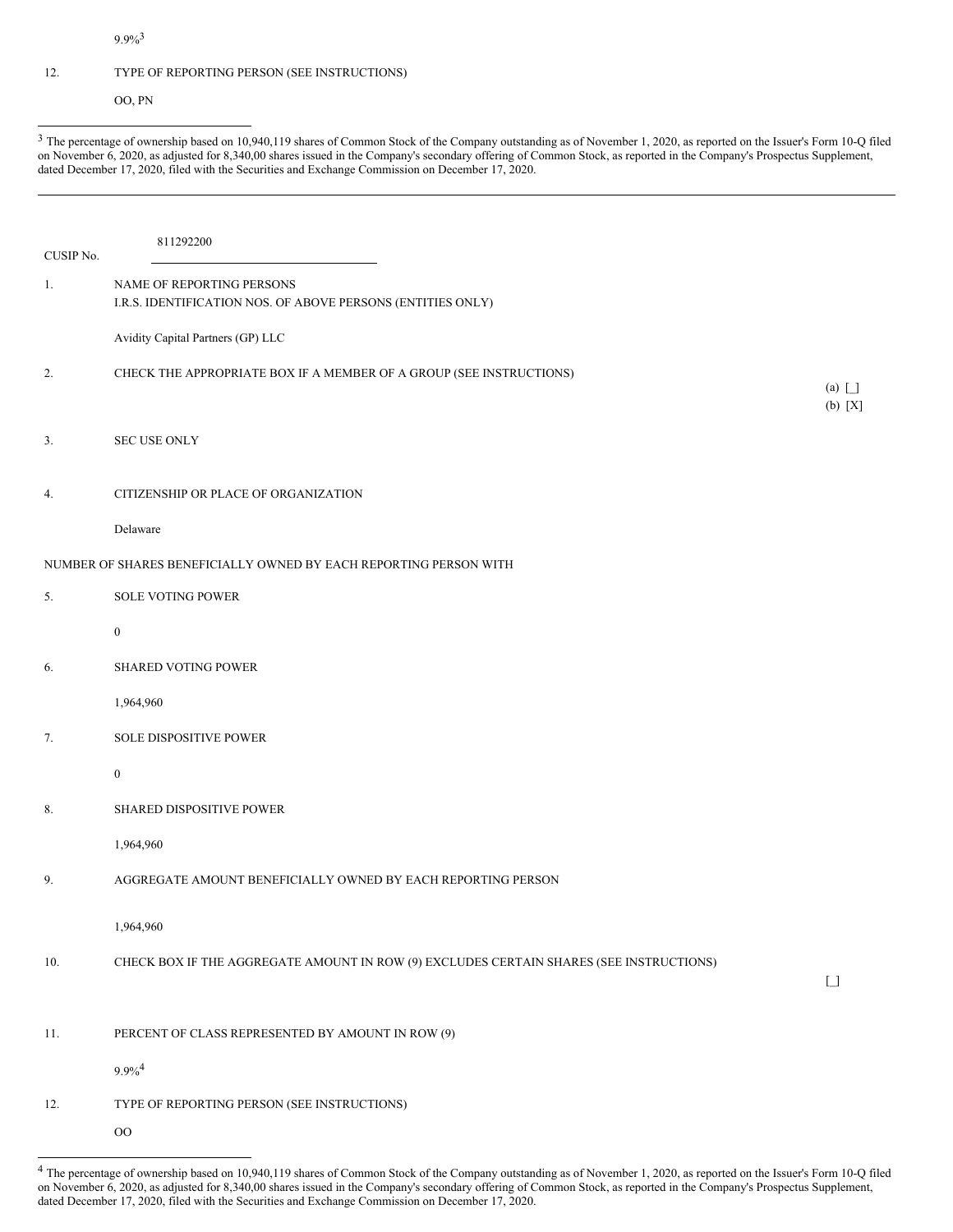9.9%<sup>3</sup>

## 12. TYPE OF REPORTING PERSON (SEE INSTRUCTIONS)

OO, PN

<sup>3</sup> The percentage of ownership based on 10,940,119 shares of Common Stock of the Company outstanding as of November 1, 2020, as reported on the Issuer's Form 10-Q filed on November 6, 2020, as adjusted for 8,340,00 shares issued in the Company's secondary offering of Common Stock, as reported in the Company's Prospectus Supplement, dated December 17, 2020, filed with the Securities and Exchange Commission on December 17, 2020.

| CUSIP No. | 811292200                                                                                |                                             |
|-----------|------------------------------------------------------------------------------------------|---------------------------------------------|
| 1.        | NAME OF REPORTING PERSONS<br>I.R.S. IDENTIFICATION NOS. OF ABOVE PERSONS (ENTITIES ONLY) |                                             |
|           | Avidity Capital Partners (GP) LLC                                                        |                                             |
| 2.        | CHECK THE APPROPRIATE BOX IF A MEMBER OF A GROUP (SEE INSTRUCTIONS)                      | $(a)$ $\Box$<br>(b) [X]                     |
| 3.        | <b>SEC USE ONLY</b>                                                                      |                                             |
| 4.        | CITIZENSHIP OR PLACE OF ORGANIZATION                                                     |                                             |
|           | Delaware                                                                                 |                                             |
|           | NUMBER OF SHARES BENEFICIALLY OWNED BY EACH REPORTING PERSON WITH                        |                                             |
| 5.        | <b>SOLE VOTING POWER</b>                                                                 |                                             |
|           | $\boldsymbol{0}$                                                                         |                                             |
| 6.        | <b>SHARED VOTING POWER</b>                                                               |                                             |
|           | 1,964,960                                                                                |                                             |
| 7.        | <b>SOLE DISPOSITIVE POWER</b>                                                            |                                             |
|           | $\boldsymbol{0}$                                                                         |                                             |
| 8.        | <b>SHARED DISPOSITIVE POWER</b>                                                          |                                             |
|           | 1,964,960                                                                                |                                             |
| 9.        | AGGREGATE AMOUNT BENEFICIALLY OWNED BY EACH REPORTING PERSON                             |                                             |
|           | 1,964,960                                                                                |                                             |
| 10.       | CHECK BOX IF THE AGGREGATE AMOUNT IN ROW (9) EXCLUDES CERTAIN SHARES (SEE INSTRUCTIONS)  | $\begin{bmatrix} \phantom{-} \end{bmatrix}$ |
| 11.       | PERCENT OF CLASS REPRESENTED BY AMOUNT IN ROW (9)                                        |                                             |
|           | $9.9\%^{4}$                                                                              |                                             |
| 12.       | TYPE OF REPORTING PERSON (SEE INSTRUCTIONS)                                              |                                             |
|           | $_{\rm OO}$                                                                              |                                             |

<sup>4</sup> The percentage of ownership based on 10,940,119 shares of Common Stock of the Company outstanding as of November 1, 2020, as reported on the Issuer's Form 10-Q filed on November 6, 2020, as adjusted for 8,340,00 shares issued in the Company's secondary offering of Common Stock, as reported in the Company's Prospectus Supplement, dated December 17, 2020, filed with the Securities and Exchange Commission on December 17, 2020.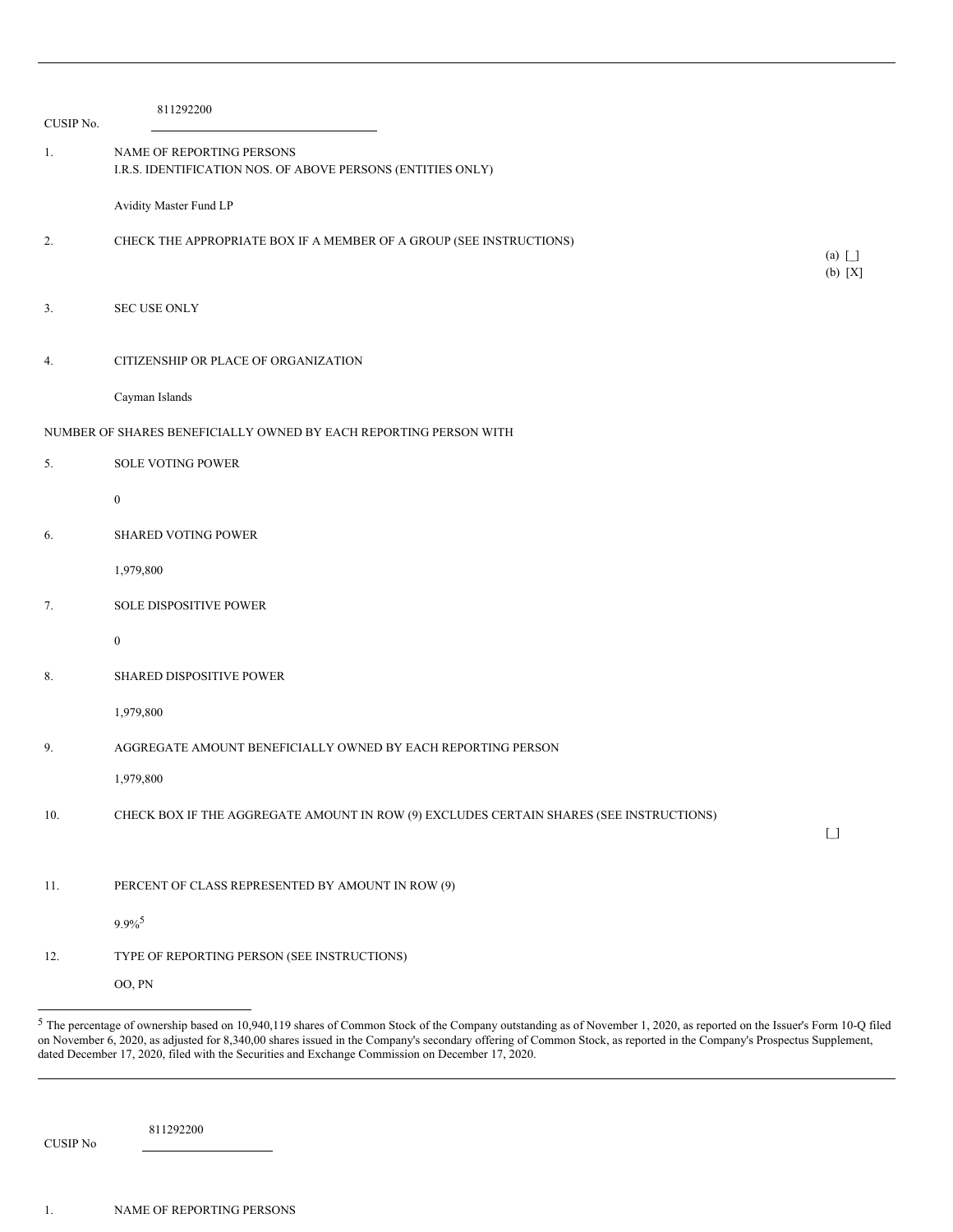| CUSIP No. | 811292200                                                                                |                                        |
|-----------|------------------------------------------------------------------------------------------|----------------------------------------|
| 1.        | NAME OF REPORTING PERSONS<br>I.R.S. IDENTIFICATION NOS. OF ABOVE PERSONS (ENTITIES ONLY) |                                        |
|           | Avidity Master Fund LP                                                                   |                                        |
| 2.        | CHECK THE APPROPRIATE BOX IF A MEMBER OF A GROUP (SEE INSTRUCTIONS)                      | $(a)$ $\Box$                           |
| 3.        | <b>SEC USE ONLY</b>                                                                      | $(b) [X]$                              |
| 4.        | CITIZENSHIP OR PLACE OF ORGANIZATION                                                     |                                        |
|           | Cayman Islands                                                                           |                                        |
|           | NUMBER OF SHARES BENEFICIALLY OWNED BY EACH REPORTING PERSON WITH                        |                                        |
| 5.        | <b>SOLE VOTING POWER</b>                                                                 |                                        |
|           | $\boldsymbol{0}$                                                                         |                                        |
| 6.        | <b>SHARED VOTING POWER</b>                                                               |                                        |
|           | 1,979,800                                                                                |                                        |
| 7.        | <b>SOLE DISPOSITIVE POWER</b>                                                            |                                        |
|           | $\bf{0}$                                                                                 |                                        |
| 8.        | <b>SHARED DISPOSITIVE POWER</b>                                                          |                                        |
|           | 1,979,800                                                                                |                                        |
| 9.        | AGGREGATE AMOUNT BENEFICIALLY OWNED BY EACH REPORTING PERSON                             |                                        |
|           | 1,979,800                                                                                |                                        |
| 10.       | CHECK BOX IF THE AGGREGATE AMOUNT IN ROW (9) EXCLUDES CERTAIN SHARES (SEE INSTRUCTIONS)  | $\begin{bmatrix} 1 \\ 1 \end{bmatrix}$ |
|           |                                                                                          |                                        |
| 11.       | PERCENT OF CLASS REPRESENTED BY AMOUNT IN ROW (9)                                        |                                        |
|           | $9.9\%$ <sup>5</sup>                                                                     |                                        |
| 12.       | TYPE OF REPORTING PERSON (SEE INSTRUCTIONS)                                              |                                        |
|           | OO, PN                                                                                   |                                        |

811292200

CUSIP No

<sup>5</sup> The percentage of ownership based on 10,940,119 shares of Common Stock of the Company outstanding as of November 1, 2020, as reported on the Issuer's Form 10-Q filed on November 6, 2020, as adjusted for 8,340,00 shares issued in the Company's secondary offering of Common Stock, as reported in the Company's Prospectus Supplement, dated December 17, 2020, filed with the Securities and Exchange Commission on December 17, 2020.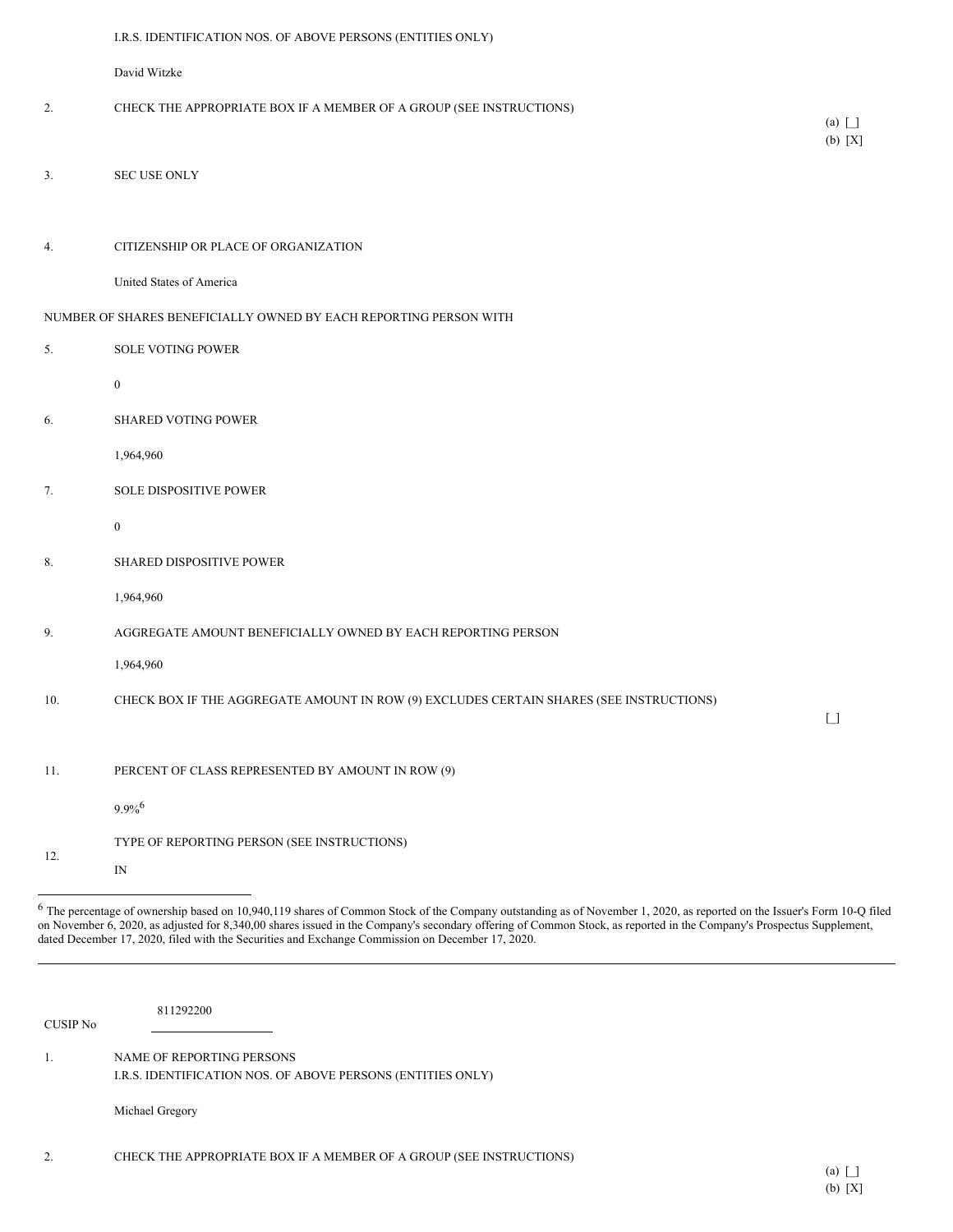|     | I.R.S. IDENTIFICATION NOS. OF ABOVE PERSONS (ENTITIES ONLY)                             |                                        |
|-----|-----------------------------------------------------------------------------------------|----------------------------------------|
|     | David Witzke                                                                            |                                        |
| 2.  | CHECK THE APPROPRIATE BOX IF A MEMBER OF A GROUP (SEE INSTRUCTIONS)                     | $(a) \mid$                             |
|     |                                                                                         | $(b) [X]$                              |
| 3.  | SEC USE ONLY                                                                            |                                        |
|     |                                                                                         |                                        |
| 4.  | CITIZENSHIP OR PLACE OF ORGANIZATION                                                    |                                        |
|     | United States of America                                                                |                                        |
|     | NUMBER OF SHARES BENEFICIALLY OWNED BY EACH REPORTING PERSON WITH                       |                                        |
| 5.  | <b>SOLE VOTING POWER</b>                                                                |                                        |
|     | $\bf{0}$                                                                                |                                        |
| 6.  | <b>SHARED VOTING POWER</b>                                                              |                                        |
|     | 1,964,960                                                                               |                                        |
| 7.  | SOLE DISPOSITIVE POWER                                                                  |                                        |
|     | $\bf{0}$                                                                                |                                        |
| 8.  | <b>SHARED DISPOSITIVE POWER</b>                                                         |                                        |
|     | 1,964,960                                                                               |                                        |
| 9.  | AGGREGATE AMOUNT BENEFICIALLY OWNED BY EACH REPORTING PERSON                            |                                        |
|     | 1,964,960                                                                               |                                        |
| 10. | CHECK BOX IF THE AGGREGATE AMOUNT IN ROW (9) EXCLUDES CERTAIN SHARES (SEE INSTRUCTIONS) |                                        |
|     |                                                                                         | $\begin{bmatrix} 1 \\ 1 \end{bmatrix}$ |
| 11. | PERCENT OF CLASS REPRESENTED BY AMOUNT IN ROW (9)                                       |                                        |
|     | $9.9\%$ <sup>6</sup>                                                                    |                                        |
|     | TYPE OF REPORTING PERSON (SEE INSTRUCTIONS)                                             |                                        |
| 12. | $\ensuremath{\mathop{\rm IN}\nolimits}$                                                 |                                        |

<sup>6</sup> The percentage of ownership based on 10,940,119 shares of Common Stock of the Company outstanding as of November 1, 2020, as reported on the Issuer's Form 10-Q filed on November 6, 2020, as adjusted for 8,340,00 shares issued in the Company's secondary offering of Common Stock, as reported in the Company's Prospectus Supplement, dated December 17, 2020, filed with the Securities and Exchange Commission on December 17, 2020.

CUSIP No

811292200

1. NAME OF REPORTING PERSONS I.R.S. IDENTIFICATION NOS. OF ABOVE PERSONS (ENTITIES ONLY)

Michael Gregory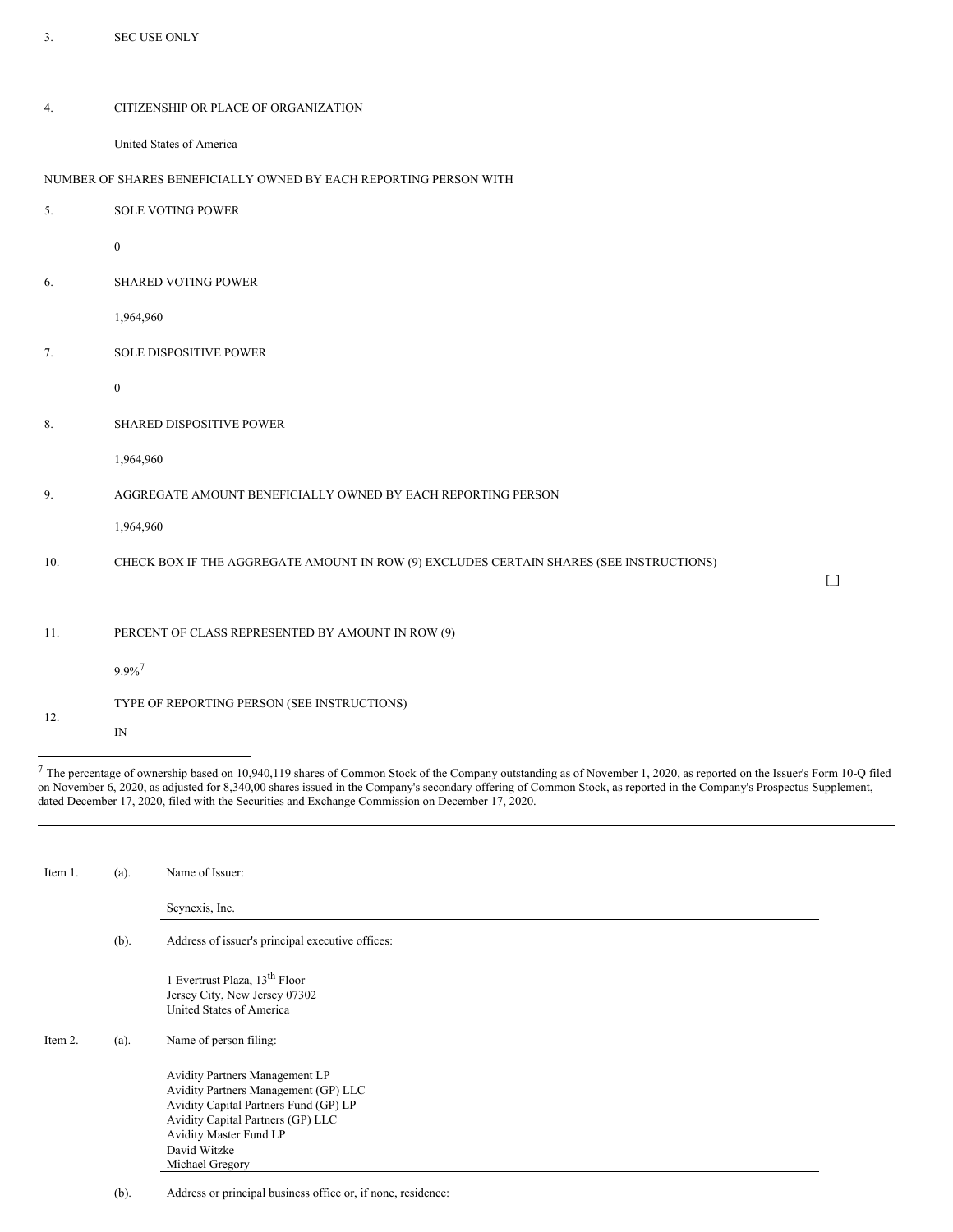| 3.  | SEC USE ONLY                                                                            |                                        |
|-----|-----------------------------------------------------------------------------------------|----------------------------------------|
| 4.  | CITIZENSHIP OR PLACE OF ORGANIZATION<br>United States of America                        |                                        |
|     | NUMBER OF SHARES BENEFICIALLY OWNED BY EACH REPORTING PERSON WITH                       |                                        |
| 5.  | <b>SOLE VOTING POWER</b>                                                                |                                        |
|     | $\boldsymbol{0}$                                                                        |                                        |
| 6.  | <b>SHARED VOTING POWER</b>                                                              |                                        |
|     | 1,964,960                                                                               |                                        |
| 7.  | SOLE DISPOSITIVE POWER                                                                  |                                        |
|     | $\boldsymbol{0}$                                                                        |                                        |
| 8.  | SHARED DISPOSITIVE POWER                                                                |                                        |
|     | 1,964,960                                                                               |                                        |
| 9.  | AGGREGATE AMOUNT BENEFICIALLY OWNED BY EACH REPORTING PERSON                            |                                        |
|     | 1,964,960                                                                               |                                        |
| 10. | CHECK BOX IF THE AGGREGATE AMOUNT IN ROW (9) EXCLUDES CERTAIN SHARES (SEE INSTRUCTIONS) | $\begin{bmatrix} 1 \\ 2 \end{bmatrix}$ |
|     |                                                                                         |                                        |
| 11. | PERCENT OF CLASS REPRESENTED BY AMOUNT IN ROW (9)                                       |                                        |
|     | $9.9\%$ <sup>7</sup>                                                                    |                                        |
| 12. | TYPE OF REPORTING PERSON (SEE INSTRUCTIONS)<br>IN                                       |                                        |
|     |                                                                                         |                                        |

 $^7$  The percentage of ownership based on 10,940,119 shares of Common Stock of the Company outstanding as of November 1, 2020, as reported on the Issuer's Form 10-Q filed on November 6, 2020, as adjusted for 8,340,00 shares issued in the Company's secondary offering of Common Stock, as reported in the Company's Prospectus Supplement, dated December 17, 2020, filed with the Securities and Exchange Commission on December 17, 2020.

| Item 1. | (a).    | Name of Issuer:                                                                                                                                                                                                   |  |
|---------|---------|-------------------------------------------------------------------------------------------------------------------------------------------------------------------------------------------------------------------|--|
|         |         | Scynexis, Inc.                                                                                                                                                                                                    |  |
|         | $(b)$ . | Address of issuer's principal executive offices:                                                                                                                                                                  |  |
|         |         | 1 Evertrust Plaza, 13 <sup>th</sup> Floor<br>Jersey City, New Jersey 07302<br>United States of America                                                                                                            |  |
| Item 2. | (a).    | Name of person filing:                                                                                                                                                                                            |  |
|         |         | Avidity Partners Management LP<br>Avidity Partners Management (GP) LLC<br>Avidity Capital Partners Fund (GP) LP<br>Avidity Capital Partners (GP) LLC<br>Avidity Master Fund LP<br>David Witzke<br>Michael Gregory |  |

(b). Address or principal business office or, if none, residence: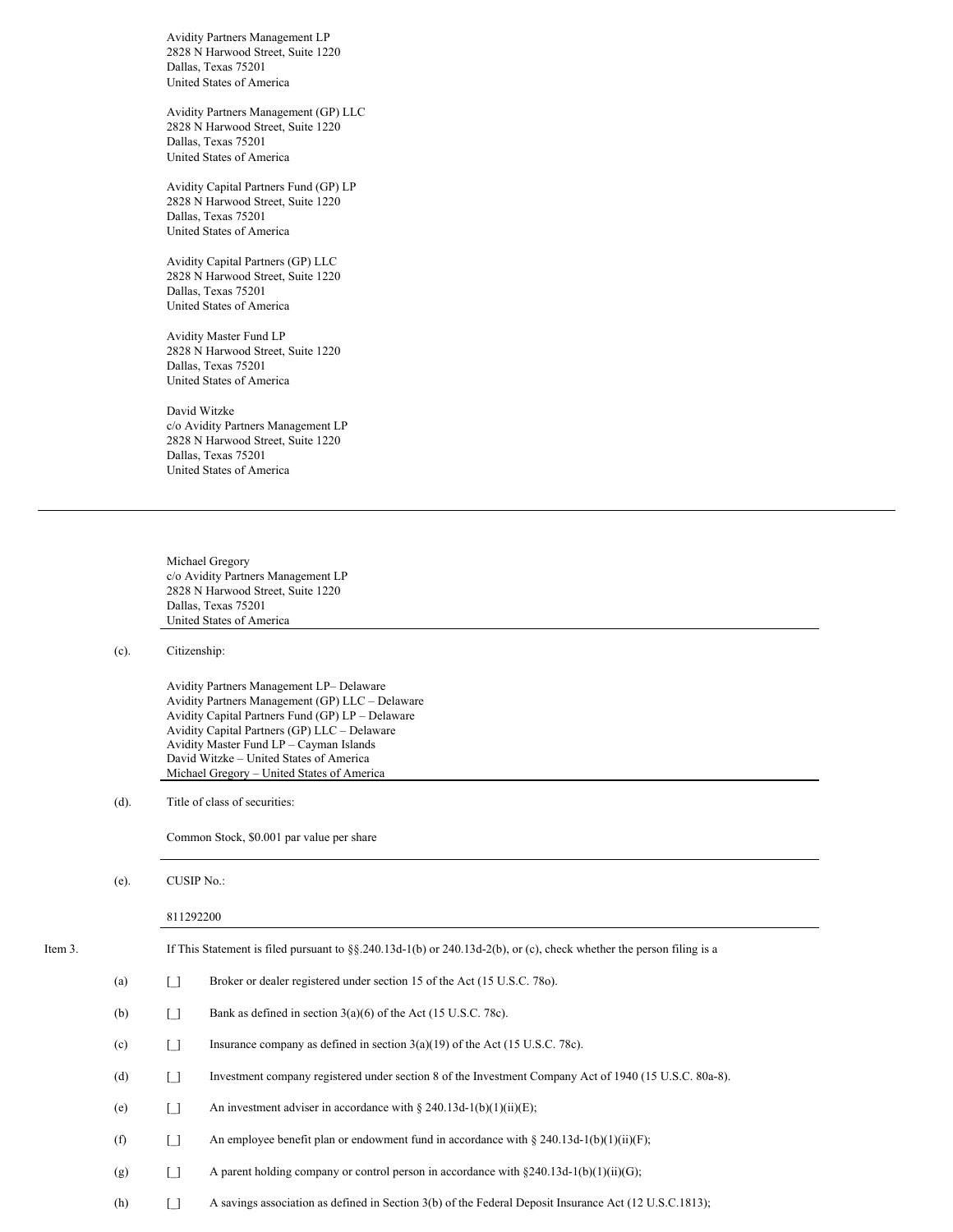Avidity Partners Management LP 2828 N Harwood Street, Suite 1220 Dallas, Texas 75201 United States of America

Avidity Partners Management (GP) LLC 2828 N Harwood Street, Suite 1220 Dallas, Texas 75201 United States of America

Avidity Capital Partners Fund (GP) LP 2828 N Harwood Street, Suite 1220 Dallas, Texas 75201 United States of America

Avidity Capital Partners (GP) LLC 2828 N Harwood Street, Suite 1220 Dallas, Texas 75201 United States of America

Avidity Master Fund LP 2828 N Harwood Street, Suite 1220 Dallas, Texas 75201 United States of America

David Witzke c/o Avidity Partners Management LP 2828 N Harwood Street, Suite 1220 Dallas, Texas 75201 United States of America

Michael Gregory c/o Avidity Partners Management LP 2828 N Harwood Street, Suite 1220 Dallas, Texas 75201 United States of America

# (c). Citizenship:

Avidity Partners Management LP– Delaware Avidity Partners Management (GP) LLC – Delaware Avidity Capital Partners Fund (GP) LP – Delaware Avidity Capital Partners (GP) LLC – Delaware Avidity Master Fund LP – Cayman Islands David Witzke – United States of America Michael Gregory – United States of America

(d). Title of class of securities:

Common Stock, \$0.001 par value per share

|  | (e). | CUSIP No.: |
|--|------|------------|
|--|------|------------|

## 811292200

| Item 3. |     |                   | If This Statement is filed pursuant to $\S$ , $\S$ , $240.13d-1(b)$ or $240.13d-2(b)$ , or (c), check whether the person filing is a |
|---------|-----|-------------------|--------------------------------------------------------------------------------------------------------------------------------------|
|         | (a) | i 1               | Broker or dealer registered under section 15 of the Act (15 U.S.C. 780).                                                             |
|         | (b) | ſ 1               | Bank as defined in section $3(a)(6)$ of the Act (15 U.S.C. 78c).                                                                     |
|         | (c) | ן ו               | Insurance company as defined in section $3(a)(19)$ of the Act (15 U.S.C. 78c).                                                       |
|         | (d) | ſ 1               | Investment company registered under section 8 of the Investment Company Act of 1940 (15 U.S.C. 80a-8).                               |
|         | (e) | ן ו               | An investment adviser in accordance with $\S 240.13d-1(b)(1)(ii)(E)$ ;                                                               |
|         | (f) | ſ 1               | An employee benefit plan or endowment fund in accordance with $\S 240.13d-1(b)(1)(ii)(F)$ ;                                          |
|         | (g) | $\lceil$ $\rceil$ | A parent holding company or control person in accordance with $\S 240.13d-1(b)(1)(ii)(G)$ ;                                          |
|         | (h) |                   | A sayings association as defined in Section 3(b) of the Federal Deposit Insurance Act (12 U.S.C.1813);                               |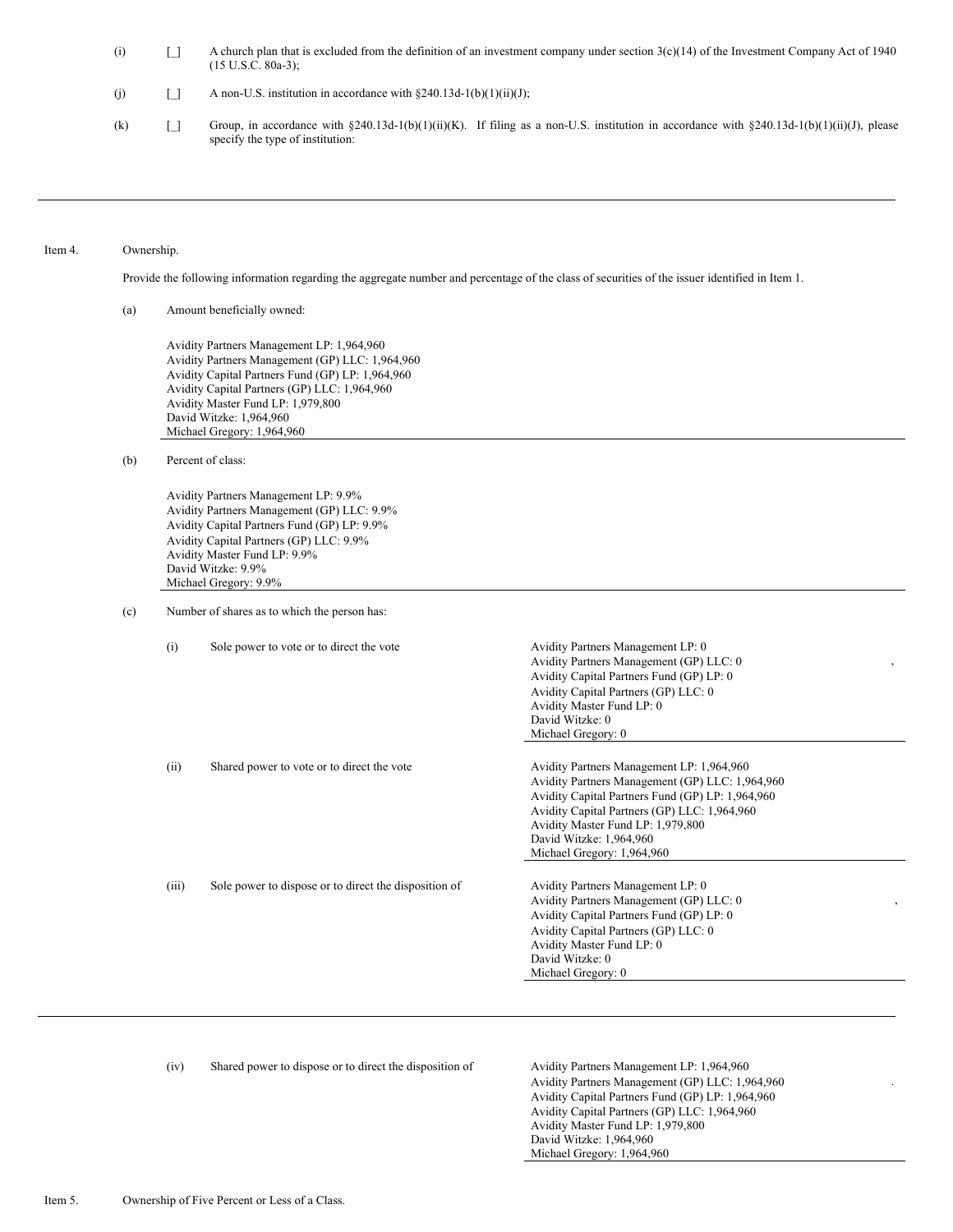- (i)  $\Box$  A church plan that is excluded from the definition of an investment company under section 3(c)(14) of the Investment Company Act of 1940 (15 U.S.C. 80a-3);
- (j)  $\Box$  A non-U.S. institution in accordance with §240.13d-1(b)(1)(ii)(J);
- (k)  $\Box$  Group, in accordance with §240.13d-1(b)(1)(ii)(K). If filing as a non-U.S. institution in accordance with §240.13d-1(b)(1)(ii)(J), please specify the type of institution:

#### Item 4. Ownership.

Provide the following information regarding the aggregate number and percentage of the class of securities of the issuer identified in Item 1.

(a) Amount beneficially owned:

Avidity Partners Management LP: 1,964,960 Avidity Partners Management (GP) LLC: 1,964,960 Avidity Capital Partners Fund (GP) LP: 1,964,960 Avidity Capital Partners (GP) LLC: 1,964,960 Avidity Master Fund LP: 1,979,800 David Witzke: 1,964,960 Michael Gregory: 1,964,960

(b) Percent of class:

Avidity Partners Management LP: 9.9% Avidity Partners Management (GP) LLC: 9.9% Avidity Capital Partners Fund (GP) LP: 9.9% Avidity Capital Partners (GP) LLC: 9.9% Avidity Master Fund LP: 9.9% David Witzke: 9.9% Michael Gregory: 9.9%

- (c) Number of shares as to which the person has:
	- (i) Sole power to vote or to direct the vote Avidity Partners Management LP: 0
	- (ii) Shared power to vote or to direct the vote Avidity Partners Management LP: 1,964,960
	- (iii) Sole power to dispose or to direct the disposition of Avidity Partners Management LP: 0
- David Witzke: 1,964,960 Michael Gregory: 1,964,960 Avidity Partners Management (GP) LLC: 0 Avidity Capital Partners Fund (GP) LP: 0 Avidity Capital Partners (GP) LLC: 0 Avidity Master Fund LP: 0 David Witzke: 0

Avidity Partners Management (GP) LLC: 1,964,960 Avidity Capital Partners Fund (GP) LP: 1,964,960 Avidity Capital Partners (GP) LLC: 1,964,960 Avidity Master Fund LP: 1,979,800

Avidity Partners Management (GP) LLC: 0 Avidity Capital Partners Fund (GP) LP: 0 Avidity Capital Partners (GP) LLC: 0 Avidity Master Fund LP: 0 David Witzke: 0 Michael Gregory: 0

,

,

.

Michael Gregory: 0

(iv) Shared power to dispose or to direct the disposition of Avidity Partners Management LP: 1,964,960

Avidity Partners Management (GP) LLC: 1,964,960 Avidity Capital Partners Fund (GP) LP: 1,964,960 Avidity Capital Partners (GP) LLC: 1,964,960 Avidity Master Fund LP: 1,979,800 David Witzke: 1,964,960 Michael Gregory: 1,964,960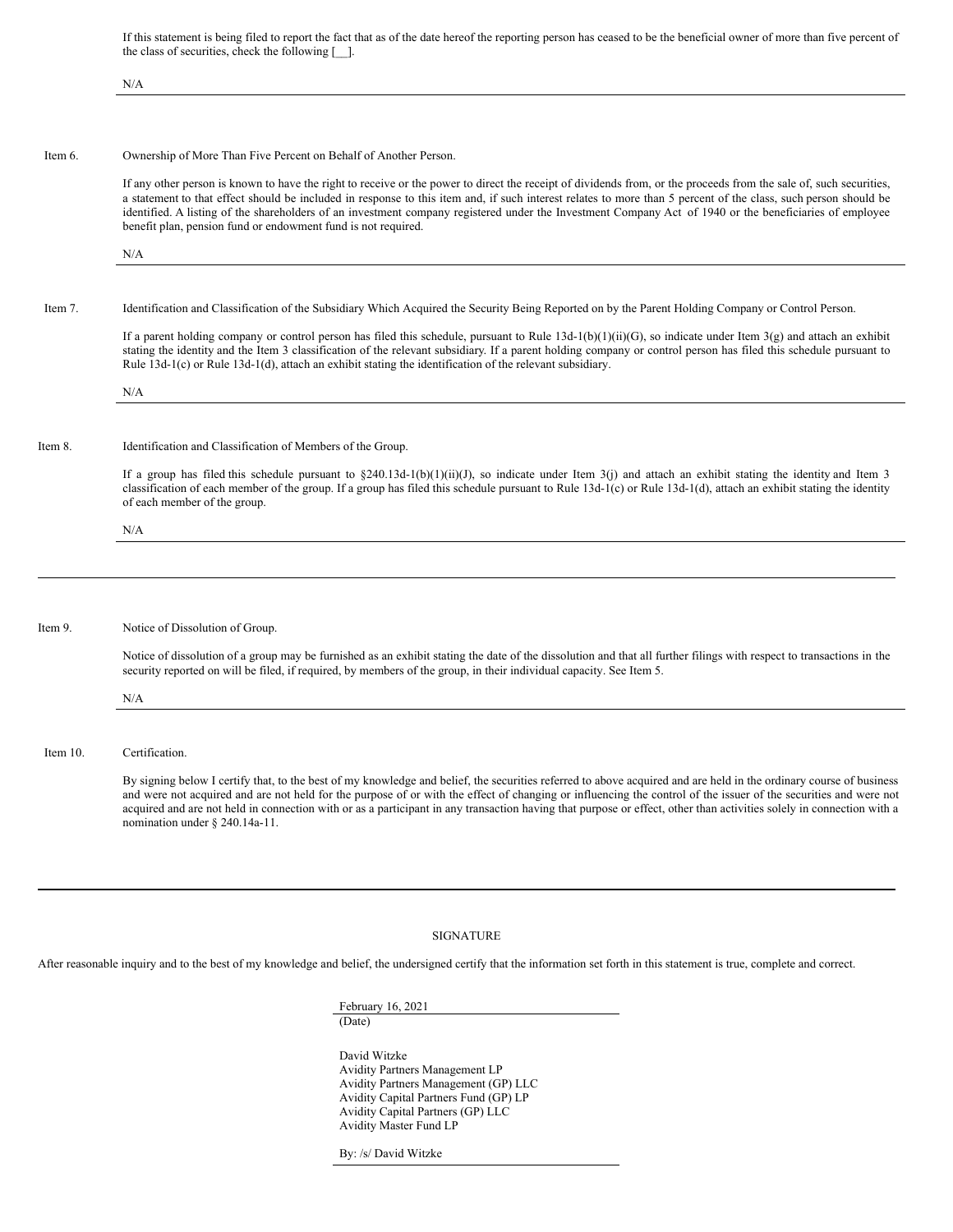If this statement is being filed to report the fact that as of the date hereof the reporting person has ceased to be the beneficial owner of more than five percent of the class of securities, check the following [\_\_].

|             | N/A                                                                                                                                                                                                                                                                                                                                                                                                                                                                                                                                                               |
|-------------|-------------------------------------------------------------------------------------------------------------------------------------------------------------------------------------------------------------------------------------------------------------------------------------------------------------------------------------------------------------------------------------------------------------------------------------------------------------------------------------------------------------------------------------------------------------------|
|             |                                                                                                                                                                                                                                                                                                                                                                                                                                                                                                                                                                   |
| Item 6.     | Ownership of More Than Five Percent on Behalf of Another Person.                                                                                                                                                                                                                                                                                                                                                                                                                                                                                                  |
|             | If any other person is known to have the right to receive or the power to direct the receipt of dividends from, or the proceeds from the sale of, such securities,<br>a statement to that effect should be included in response to this item and, if such interest relates to more than 5 percent of the class, such person should be<br>identified. A listing of the shareholders of an investment company registered under the Investment Company Act of 1940 or the beneficiaries of employee<br>benefit plan, pension fund or endowment fund is not required. |
|             | N/A                                                                                                                                                                                                                                                                                                                                                                                                                                                                                                                                                               |
| Item 7.     | Identification and Classification of the Subsidiary Which Acquired the Security Being Reported on by the Parent Holding Company or Control Person.                                                                                                                                                                                                                                                                                                                                                                                                                |
|             | If a parent holding company or control person has filed this schedule, pursuant to Rule $13d-1(b)(1)(ii)(G)$ , so indicate under Item 3(g) and attach an exhibit<br>stating the identity and the Item 3 classification of the relevant subsidiary. If a parent holding company or control person has filed this schedule pursuant to<br>Rule $13d-1(c)$ or Rule $13d-1(d)$ , attach an exhibit stating the identification of the relevant subsidiary.                                                                                                             |
|             | N/A                                                                                                                                                                                                                                                                                                                                                                                                                                                                                                                                                               |
|             |                                                                                                                                                                                                                                                                                                                                                                                                                                                                                                                                                                   |
| Item 8.     | Identification and Classification of Members of the Group.                                                                                                                                                                                                                                                                                                                                                                                                                                                                                                        |
|             | If a group has filed this schedule pursuant to §240.13d-1(b)(1)(ii)(J), so indicate under Item 3(j) and attach an exhibit stating the identity and Item 3<br>classification of each member of the group. If a group has filed this schedule pursuant to Rule $13d-1(c)$ or Rule $13d-1(d)$ , attach an exhibit stating the identity<br>of each member of the group.                                                                                                                                                                                               |
|             | N/A                                                                                                                                                                                                                                                                                                                                                                                                                                                                                                                                                               |
|             |                                                                                                                                                                                                                                                                                                                                                                                                                                                                                                                                                                   |
|             |                                                                                                                                                                                                                                                                                                                                                                                                                                                                                                                                                                   |
| Item 9.     | Notice of Dissolution of Group.                                                                                                                                                                                                                                                                                                                                                                                                                                                                                                                                   |
|             | Notice of dissolution of a group may be furnished as an exhibit stating the date of the dissolution and that all further filings with respect to transactions in the<br>security reported on will be filed, if required, by members of the group, in their individual capacity. See Item 5.                                                                                                                                                                                                                                                                       |
|             | N/A                                                                                                                                                                                                                                                                                                                                                                                                                                                                                                                                                               |
|             |                                                                                                                                                                                                                                                                                                                                                                                                                                                                                                                                                                   |
| Item $10$ . | Certification.                                                                                                                                                                                                                                                                                                                                                                                                                                                                                                                                                    |
|             | By signing below I certify that, to the best of my knowledge and belief, the securities referred to above acquired and are held in the ordinary course of business<br>and were not acquired and are not held for the purpose of or with the effect of changing or influencing the control of the issuer of the securities and were not<br>acquired and are not held in connection with or as a participant in any transaction having that purpose or effect, other than activities solely in connection with a<br>nomination under § 240.14a-11.                  |

#### SIGNATURE

After reasonable inquiry and to the best of my knowledge and belief, the undersigned certify that the information set forth in this statement is true, complete and correct.

February 16, 2021 (Date)

David Witzke Avidity Partners Management LP Avidity Partners Management (GP) LLC Avidity Capital Partners Fund (GP) LP Avidity Capital Partners (GP) LLC Avidity Master Fund LP

By: /s/ David Witzke